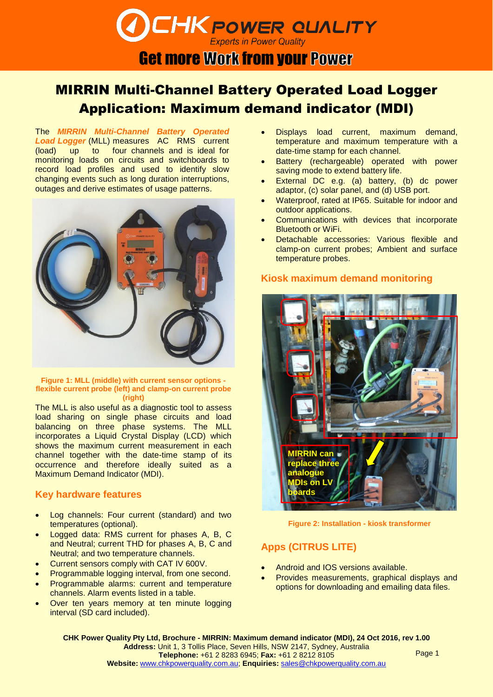## **Experts in Power Quality Get more Work from your Power**

**CHK POWER QUALITY** 

# MIRRIN Multi-Channel Battery Operated Load Logger Application: Maximum demand indicator (MDI)

The *MIRRIN Multi-Channel Battery Operated Load Logger* (MLL) measures AC RMS current (load) up to four channels and is ideal for monitoring loads on circuits and switchboards to record load profiles and used to identify slow changing events such as long duration interruptions, outages and derive estimates of usage patterns.



#### **Figure 1: MLL (middle) with current sensor options flexible current probe (left) and clamp-on current probe (right)**

The MLL is also useful as a diagnostic tool to assess load sharing on single phase circuits and load balancing on three phase systems. The MLL incorporates a Liquid Crystal Display (LCD) which shows the maximum current measurement in each channel together with the date-time stamp of its occurrence and therefore ideally suited as a Maximum Demand Indicator (MDI).

### **Key hardware features**

- Log channels: Four current (standard) and two temperatures (optional).
- Logged data: RMS current for phases A, B, C and Neutral; current THD for phases A, B, C and Neutral; and two temperature channels.
- Current sensors comply with CAT IV 600V.
- Programmable logging interval, from one second.
- Programmable alarms: current and temperature channels. Alarm events listed in a table.
- Over ten years memory at ten minute logging interval (SD card included).
- Displays load current, maximum demand, temperature and maximum temperature with a date-time stamp for each channel.
- Battery (rechargeable) operated with power saving mode to extend battery life.
- External DC e.g. (a) battery, (b) dc power adaptor, (c) solar panel, and (d) USB port.
- Waterproof, rated at IP65. Suitable for indoor and outdoor applications.
- Communications with devices that incorporate Bluetooth or WiFi.
- Detachable accessories: Various flexible and clamp-on current probes; Ambient and surface temperature probes.

### **Kiosk maximum demand monitoring**



**Figure 2: Installation - kiosk transformer**

### **Apps (CITRUS LITE)**

- Android and IOS versions available.
- Provides measurements, graphical displays and options for downloading and emailing data files.